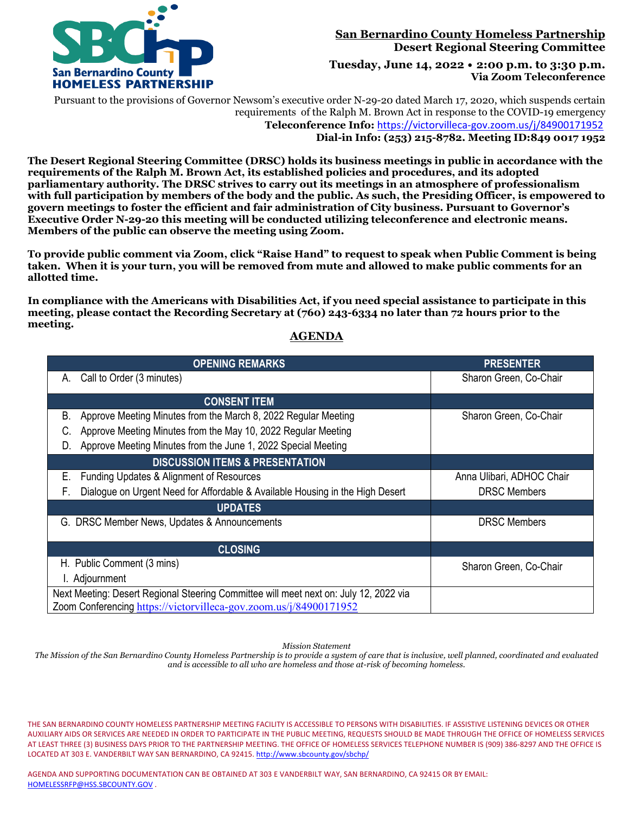

### **San Bernardino County Homeless Partnership Desert Regional Steering Committee**

**Tuesday, June 14, 2022 • 2:00 p.m. to 3:30 p.m. Via Zoom Teleconference**

Pursuant to the provisions of Governor Newsom's executive order N-29-20 dated March 17, 2020, which suspends certain requirements of the Ralph M. Brown Act in response to the COVID-19 emergency  **Teleconference Info:** <https://victorvilleca-gov.zoom.us/j/84900171952>  **Dial-in Info: (253) 215-8782. Meeting ID:849 0017 1952** 

**The Desert Regional Steering Committee (DRSC) holds its business meetings in public in accordance with the requirements of the Ralph M. Brown Act, its established policies and procedures, and its adopted parliamentary authority. The DRSC strives to carry out its meetings in an atmosphere of professionalism with full participation by members of the body and the public. As such, the Presiding Officer, is empowered to govern meetings to foster the efficient and fair administration of City business. Pursuant to Governor's Executive Order N-29-20 this meeting will be conducted utilizing teleconference and electronic means. Members of the public can observe the meeting using Zoom.**

**To provide public comment via Zoom, click "Raise Hand" to request to speak when Public Comment is being taken. When it is your turn, you will be removed from mute and allowed to make public comments for an allotted time.**

**In compliance with the Americans with Disabilities Act, if you need special assistance to participate in this meeting, please contact the Recording Secretary at (760) 243-6334 no later than 72 hours prior to the meeting.**

### **AGENDA**

| <b>OPENING REMARKS</b>                                                                | <b>PRESENTER</b>          |  |  |  |  |  |
|---------------------------------------------------------------------------------------|---------------------------|--|--|--|--|--|
| Call to Order (3 minutes)<br>Α.                                                       | Sharon Green, Co-Chair    |  |  |  |  |  |
| <b>CONSENT ITEM</b>                                                                   |                           |  |  |  |  |  |
| Approve Meeting Minutes from the March 8, 2022 Regular Meeting<br>В.                  | Sharon Green, Co-Chair    |  |  |  |  |  |
| Approve Meeting Minutes from the May 10, 2022 Regular Meeting<br>C.                   |                           |  |  |  |  |  |
| Approve Meeting Minutes from the June 1, 2022 Special Meeting<br>D.                   |                           |  |  |  |  |  |
| <b>DISCUSSION ITEMS &amp; PRESENTATION</b>                                            |                           |  |  |  |  |  |
| Е.<br>Funding Updates & Alignment of Resources                                        | Anna Ulibari, ADHOC Chair |  |  |  |  |  |
| Dialogue on Urgent Need for Affordable & Available Housing in the High Desert<br>F.   | <b>DRSC Members</b>       |  |  |  |  |  |
| <b>UPDATES</b>                                                                        |                           |  |  |  |  |  |
| G. DRSC Member News, Updates & Announcements                                          | <b>DRSC Members</b>       |  |  |  |  |  |
| <b>CLOSING</b>                                                                        |                           |  |  |  |  |  |
| H. Public Comment (3 mins)                                                            | Sharon Green, Co-Chair    |  |  |  |  |  |
| I. Adjournment                                                                        |                           |  |  |  |  |  |
| Next Meeting: Desert Regional Steering Committee will meet next on: July 12, 2022 via |                           |  |  |  |  |  |
| Zoom Conferencing https://victorvilleca-gov.zoom.us/j/84900171952                     |                           |  |  |  |  |  |

*Mission Statement*

*The Mission of the San Bernardino County Homeless Partnership is to provide a system of care that is inclusive, well planned, coordinated and evaluated and is accessible to all who are homeless and those at-risk of becoming homeless.*

THE SAN BERNARDINO COUNTY HOMELESS PARTNERSHIP MEETING FACILITY IS ACCESSIBLE TO PERSONS WITH DISABILITIES. IF ASSISTIVE LISTENING DEVICES OR OTHER AUXILIARY AIDS OR SERVICES ARE NEEDED IN ORDER TO PARTICIPATE IN THE PUBLIC MEETING, REQUESTS SHOULD BE MADE THROUGH THE OFFICE OF HOMELESS SERVICES AT LEAST THREE (3) BUSINESS DAYS PRIOR TO THE PARTNERSHIP MEETING. THE OFFICE OF HOMELESS SERVICES TELEPHONE NUMBER IS (909) 386-8297 AND THE OFFICE IS LOCATED AT 303 E. VANDERBILT WAY SAN BERNARDINO, CA 92415[. http://www.sbcounty.gov/sbchp/](http://www.sbcounty.gov/sbchp/)

AGENDA AND SUPPORTING DOCUMENTATION CAN BE OBTAINED AT 303 E VANDERBILT WAY, SAN BERNARDINO, CA 92415 OR BY EMAIL: [HOMELESSRFP@HSS.SBCOUNTY.GOV](mailto:HOMELESSRFP@HSS.SBCOUNTY.GOV) .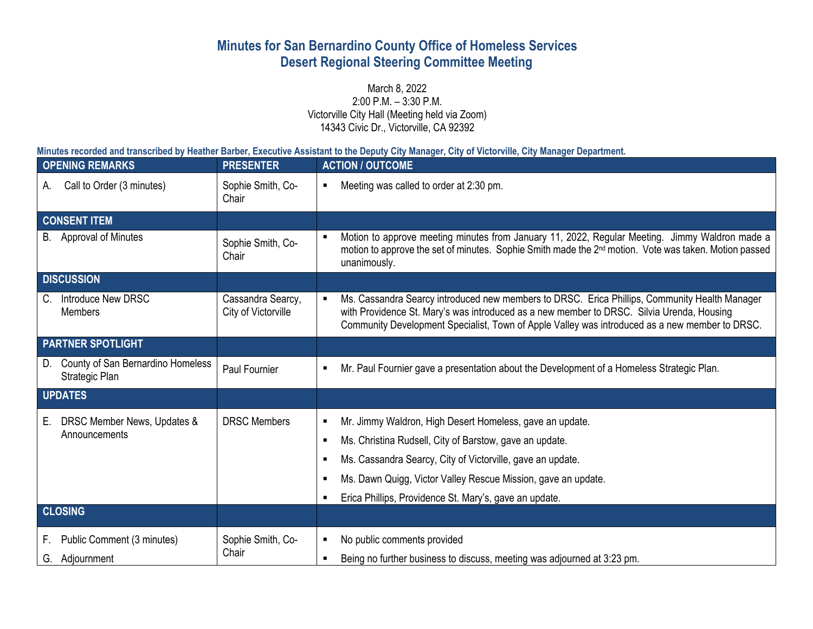# **Minutes for San Bernardino County Office of Homeless Services Desert Regional Steering Committee Meeting**

March 8, 2022 2:00 P.M. – 3:30 P.M. Victorville City Hall (Meeting held via Zoom) 14343 Civic Dr., Victorville, CA 92392

**Minutes recorded and transcribed by Heather Barber, Executive Assistant to the Deputy City Manager, City of Victorville, City Manager Department.**

|                          | <b>OPENING REMARKS</b>                              | <b>PRESENTER</b>                         |                                                            | <b>ACTION / OUTCOME</b>                                                                                                                                                                                                                                                                      |
|--------------------------|-----------------------------------------------------|------------------------------------------|------------------------------------------------------------|----------------------------------------------------------------------------------------------------------------------------------------------------------------------------------------------------------------------------------------------------------------------------------------------|
| А.                       | Call to Order (3 minutes)                           | Sophie Smith, Co-<br>Chair               | ٠                                                          | Meeting was called to order at 2:30 pm.                                                                                                                                                                                                                                                      |
|                          | <b>CONSENT ITEM</b>                                 |                                          |                                                            |                                                                                                                                                                                                                                                                                              |
|                          | B. Approval of Minutes                              | Sophie Smith, Co-<br>Chair               |                                                            | Motion to approve meeting minutes from January 11, 2022, Regular Meeting. Jimmy Waldron made a<br>motion to approve the set of minutes. Sophie Smith made the 2 <sup>nd</sup> motion. Vote was taken. Motion passed<br>unanimously.                                                          |
|                          | <b>DISCUSSION</b>                                   |                                          |                                                            |                                                                                                                                                                                                                                                                                              |
|                          | C. Introduce New DRSC<br><b>Members</b>             | Cassandra Searcy,<br>City of Victorville |                                                            | Ms. Cassandra Searcy introduced new members to DRSC. Erica Phillips, Community Health Manager<br>with Providence St. Mary's was introduced as a new member to DRSC. Silvia Urenda, Housing<br>Community Development Specialist, Town of Apple Valley was introduced as a new member to DRSC. |
| <b>PARTNER SPOTLIGHT</b> |                                                     |                                          |                                                            |                                                                                                                                                                                                                                                                                              |
| D.                       | County of San Bernardino Homeless<br>Strategic Plan | Paul Fournier                            | п                                                          | Mr. Paul Fournier gave a presentation about the Development of a Homeless Strategic Plan.                                                                                                                                                                                                    |
| <b>UPDATES</b>           |                                                     |                                          |                                                            |                                                                                                                                                                                                                                                                                              |
| Е.                       | DRSC Member News, Updates &<br>Announcements        | <b>DRSC Members</b><br>п                 |                                                            | Mr. Jimmy Waldron, High Desert Homeless, gave an update.                                                                                                                                                                                                                                     |
|                          |                                                     |                                          |                                                            | Ms. Christina Rudsell, City of Barstow, gave an update.                                                                                                                                                                                                                                      |
|                          |                                                     |                                          | Ms. Cassandra Searcy, City of Victorville, gave an update. |                                                                                                                                                                                                                                                                                              |
|                          |                                                     |                                          |                                                            | Ms. Dawn Quigg, Victor Valley Rescue Mission, gave an update.                                                                                                                                                                                                                                |
|                          |                                                     |                                          |                                                            | Erica Phillips, Providence St. Mary's, gave an update.                                                                                                                                                                                                                                       |
|                          | <b>CLOSING</b>                                      |                                          |                                                            |                                                                                                                                                                                                                                                                                              |
| F.                       | Public Comment (3 minutes)<br>G. Adjournment        | Sophie Smith, Co-<br>Chair               | ٠                                                          | No public comments provided<br>Being no further business to discuss, meeting was adjourned at 3:23 pm.                                                                                                                                                                                       |
|                          |                                                     |                                          |                                                            |                                                                                                                                                                                                                                                                                              |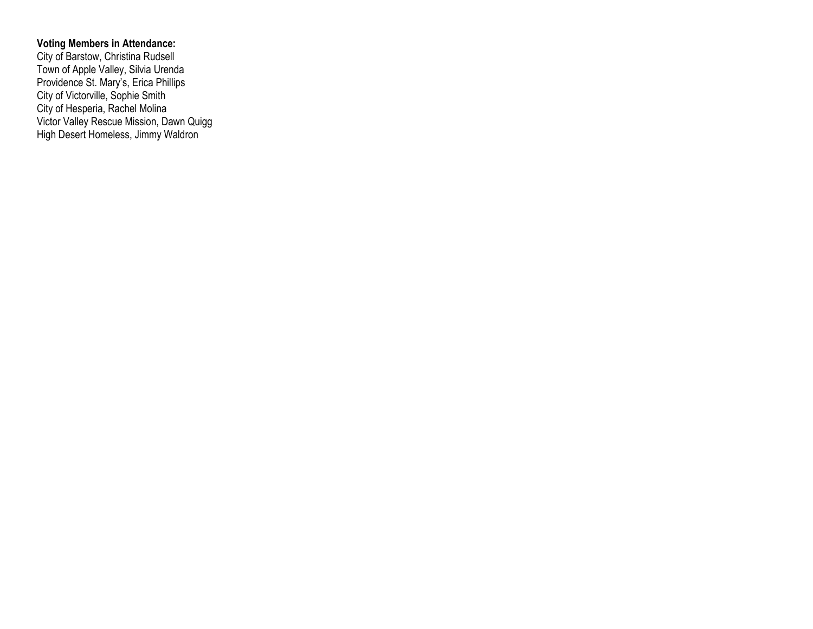#### **Voting Members in Attendance:**

City of Barstow, Christina Rudsell Town of Apple Valley, Silvia Urenda Providence St. Mary's, Erica Phillips City of Victorville, Sophie Smith City of Hesperia, Rachel Molina Victor Valley Rescue Mission, Dawn Quigg High Desert Homeless, Jimmy Waldron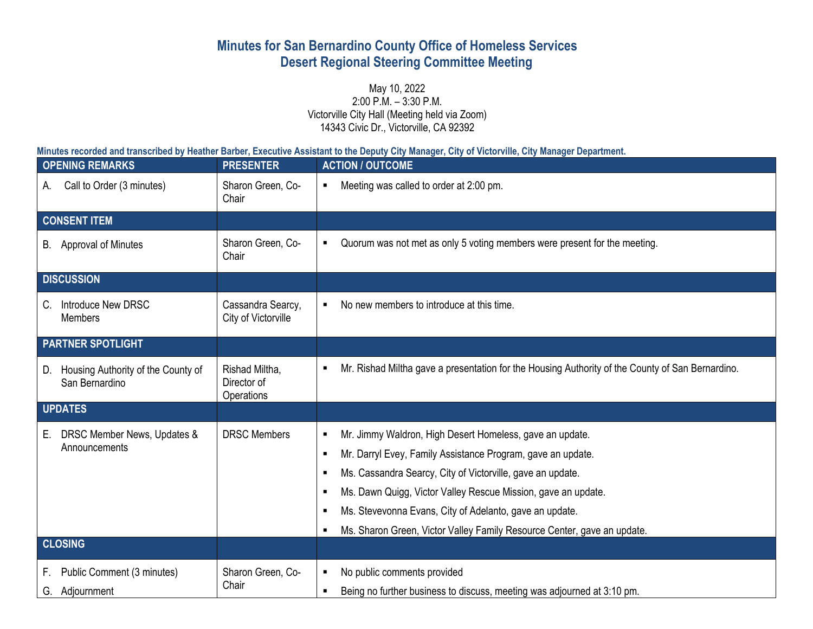# **Minutes for San Bernardino County Office of Homeless Services Desert Regional Steering Committee Meeting**

May 10, 2022 2:00 P.M. – 3:30 P.M. Victorville City Hall (Meeting held via Zoom) 14343 Civic Dr., Victorville, CA 92392

**Minutes recorded and transcribed by Heather Barber, Executive Assistant to the Deputy City Manager, City of Victorville, City Manager Department.**

|                          | <b>OPENING REMARKS</b>                               | <b>PRESENTER</b>                            | <b>ACTION / OUTCOME</b> |                                                                                                                                                                                                                                                                                                                                                                                              |
|--------------------------|------------------------------------------------------|---------------------------------------------|-------------------------|----------------------------------------------------------------------------------------------------------------------------------------------------------------------------------------------------------------------------------------------------------------------------------------------------------------------------------------------------------------------------------------------|
| А.                       | Call to Order (3 minutes)                            | Sharon Green, Co-<br>Chair                  | ٠                       | Meeting was called to order at 2:00 pm.                                                                                                                                                                                                                                                                                                                                                      |
| <b>CONSENT ITEM</b>      |                                                      |                                             |                         |                                                                                                                                                                                                                                                                                                                                                                                              |
|                          | B. Approval of Minutes                               | Sharon Green, Co-<br>Chair                  | $\blacksquare$          | Quorum was not met as only 5 voting members were present for the meeting.                                                                                                                                                                                                                                                                                                                    |
| <b>DISCUSSION</b>        |                                                      |                                             |                         |                                                                                                                                                                                                                                                                                                                                                                                              |
| C.                       | Introduce New DRSC<br><b>Members</b>                 | Cassandra Searcy,<br>City of Victorville    |                         | No new members to introduce at this time.                                                                                                                                                                                                                                                                                                                                                    |
| <b>PARTNER SPOTLIGHT</b> |                                                      |                                             |                         |                                                                                                                                                                                                                                                                                                                                                                                              |
| D.                       | Housing Authority of the County of<br>San Bernardino | Rishad Miltha,<br>Director of<br>Operations |                         | Mr. Rishad Miltha gave a presentation for the Housing Authority of the County of San Bernardino.                                                                                                                                                                                                                                                                                             |
| <b>UPDATES</b>           |                                                      |                                             |                         |                                                                                                                                                                                                                                                                                                                                                                                              |
| Е.                       | DRSC Member News, Updates &<br>Announcements         | <b>DRSC Members</b>                         | п                       | Mr. Jimmy Waldron, High Desert Homeless, gave an update.<br>Mr. Darryl Evey, Family Assistance Program, gave an update.<br>Ms. Cassandra Searcy, City of Victorville, gave an update.<br>Ms. Dawn Quigg, Victor Valley Rescue Mission, gave an update.<br>Ms. Stevevonna Evans, City of Adelanto, gave an update.<br>Ms. Sharon Green, Victor Valley Family Resource Center, gave an update. |
| <b>CLOSING</b>           |                                                      |                                             |                         |                                                                                                                                                                                                                                                                                                                                                                                              |
| F.<br>G.                 | Public Comment (3 minutes)<br>Adjournment            | Sharon Green, Co-<br>Chair                  | $\blacksquare$          | No public comments provided<br>Being no further business to discuss, meeting was adjourned at 3:10 pm.                                                                                                                                                                                                                                                                                       |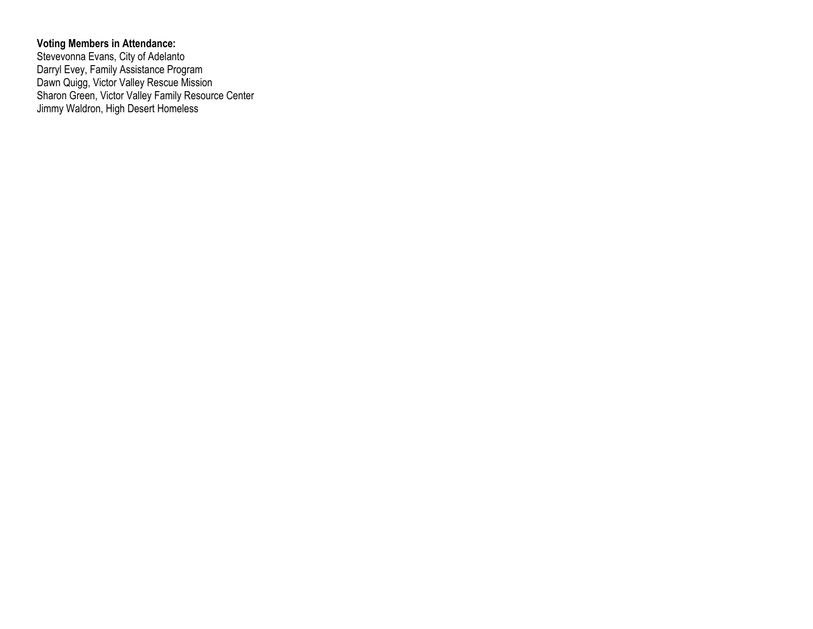#### **Voting Members in Attendance:**

Stevevonna Evans, City of Adelanto Darryl Evey, Family Assistance Program Dawn Quigg, Victor Valley Rescue Mission Sharon Green, Victor Valley Family Resource Center Jimmy Waldron, High Desert Homeless